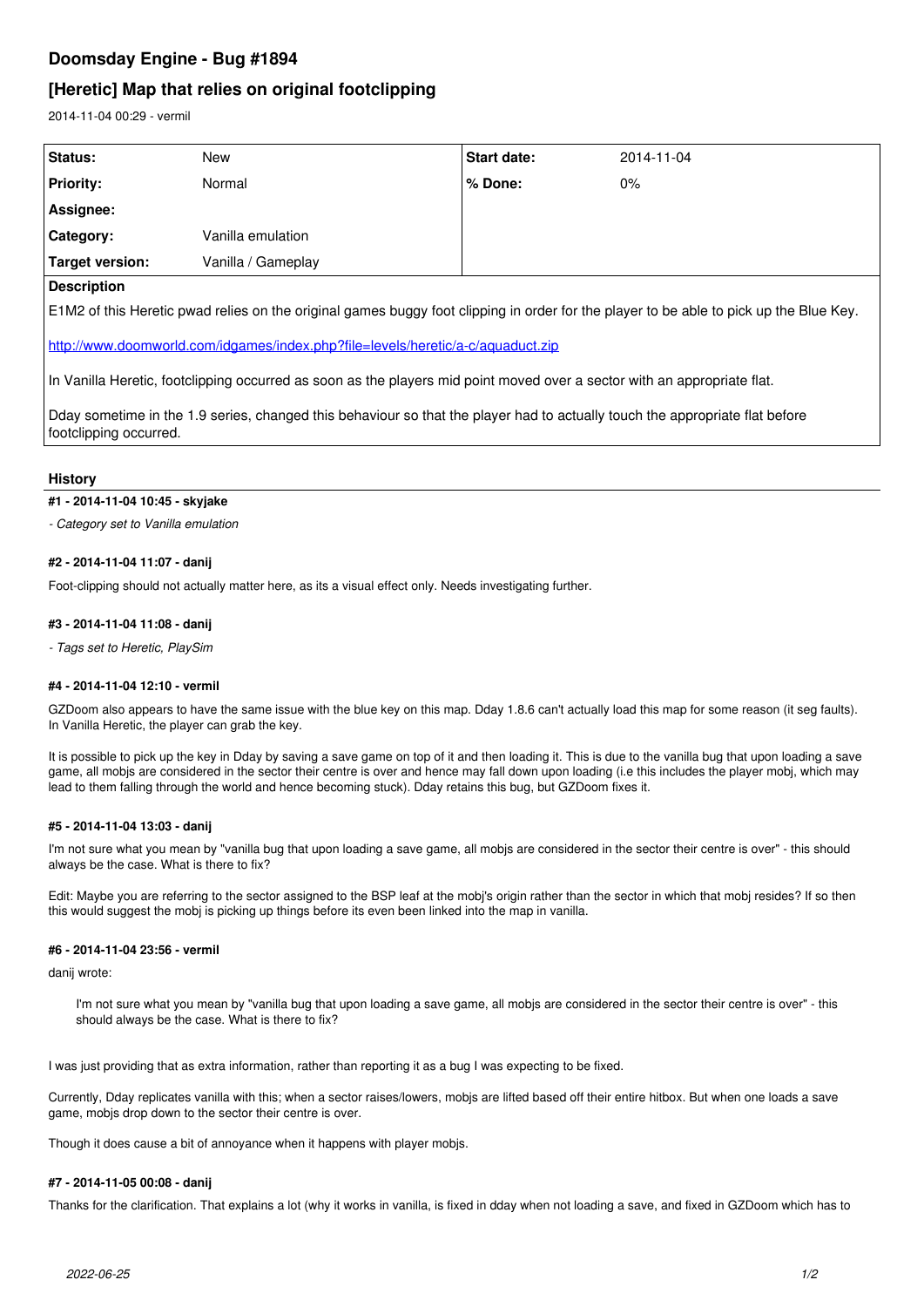# **Doomsday Engine - Bug #1894**

# **[Heretic] Map that relies on original footclipping**

2014-11-04 00:29 - vermil

| <b>Status:</b>     | New                | Start date: | 2014-11-04 |
|--------------------|--------------------|-------------|------------|
| <b>Priority:</b>   | Normal             | ∣% Done:    | $0\%$      |
| Assignee:          |                    |             |            |
| Category:          | Vanilla emulation  |             |            |
| Target version:    | Vanilla / Gameplay |             |            |
| <b>Decerintion</b> |                    |             |            |

### **Description**

E1M2 of this Heretic pwad relies on the original games buggy foot clipping in order for the player to be able to pick up the Blue Key.

<http://www.doomworld.com/idgames/index.php?file=levels/heretic/a-c/aquaduct.zip>

In Vanilla Heretic, footclipping occurred as soon as the players mid point moved over a sector with an appropriate flat.

Dday sometime in the 1.9 series, changed this behaviour so that the player had to actually touch the appropriate flat before footclipping occurred.

#### **History**

#### **#1 - 2014-11-04 10:45 - skyjake**

*- Category set to Vanilla emulation*

#### **#2 - 2014-11-04 11:07 - danij**

Foot-clipping should not actually matter here, as its a visual effect only. Needs investigating further.

#### **#3 - 2014-11-04 11:08 - danij**

*- Tags set to Heretic, PlaySim*

#### **#4 - 2014-11-04 12:10 - vermil**

GZDoom also appears to have the same issue with the blue key on this map. Dday 1.8.6 can't actually load this map for some reason (it seg faults). In Vanilla Heretic, the player can grab the key.

It is possible to pick up the key in Dday by saving a save game on top of it and then loading it. This is due to the vanilla bug that upon loading a save game, all mobjs are considered in the sector their centre is over and hence may fall down upon loading (i.e this includes the player mobj, which may lead to them falling through the world and hence becoming stuck). Dday retains this bug, but GZDoom fixes it.

#### **#5 - 2014-11-04 13:03 - danij**

I'm not sure what you mean by "vanilla bug that upon loading a save game, all mobjs are considered in the sector their centre is over" - this should always be the case. What is there to fix?

Edit: Maybe you are referring to the sector assigned to the BSP leaf at the mobj's origin rather than the sector in which that mobj resides? If so then this would suggest the mobj is picking up things before its even been linked into the map in vanilla.

## **#6 - 2014-11-04 23:56 - vermil**

danij wrote:

I'm not sure what you mean by "vanilla bug that upon loading a save game, all mobjs are considered in the sector their centre is over" - this should always be the case. What is there to fix?

I was just providing that as extra information, rather than reporting it as a bug I was expecting to be fixed.

Currently, Dday replicates vanilla with this; when a sector raises/lowers, mobjs are lifted based off their entire hitbox. But when one loads a save game, mobjs drop down to the sector their centre is over.

Though it does cause a bit of annoyance when it happens with player mobjs.

#### **#7 - 2014-11-05 00:08 - danij**

Thanks for the clarification. That explains a lot (why it works in vanilla, is fixed in dday when not loading a save, and fixed in GZDoom which has to